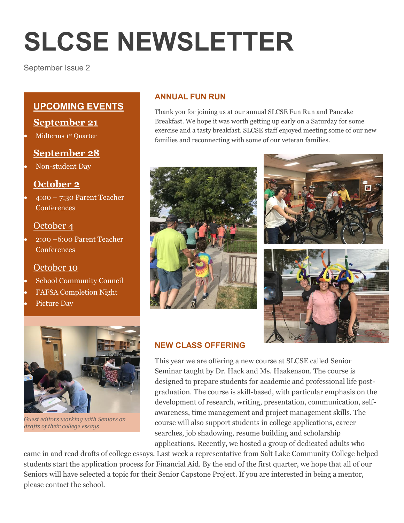# **SLCSE NEWSLETTER**

September Issue 2

# **UPCOMING EVENTS**

## **September 21**

Midterms 1st Quarter

## **September 28**

Non-student Day

# **October 2**

 4:00 – 7:30 Parent Teacher **Conferences** 

## October 4

 2:00 –6:00 Parent Teacher Conferences

## October 10

- School Community Council
- FAFSA Completion Night
- Picture Day



*Guest editors working with Seniors on drafts of their college essays*

### **ANNUAL FUN RUN**

Thank you for joining us at our annual SLCSE Fun Run and Pancake Breakfast. We hope it was worth getting up early on a Saturday for some exercise and a tasty breakfast. SLCSE staff enjoyed meeting some of our new families and reconnecting with some of our veteran families.







## **NEW CLASS OFFERING**

This year we are offering a new course at SLCSE called Senior Seminar taught by Dr. Hack and Ms. Haakenson. The course is designed to prepare students for academic and professional life postgraduation. The course is skill-based, with particular emphasis on the development of research, writing, presentation, communication, selfawareness, time management and project management skills. The course will also support students in college applications, career searches, job shadowing, resume building and scholarship applications. Recently, we hosted a group of dedicated adults who

came in and read drafts of college essays. Last week a representative from Salt Lake Community College helped students start the application process for Financial Aid. By the end of the first quarter, we hope that all of our Seniors will have selected a topic for their Senior Capstone Project. If you are interested in being a mentor, please contact the school.